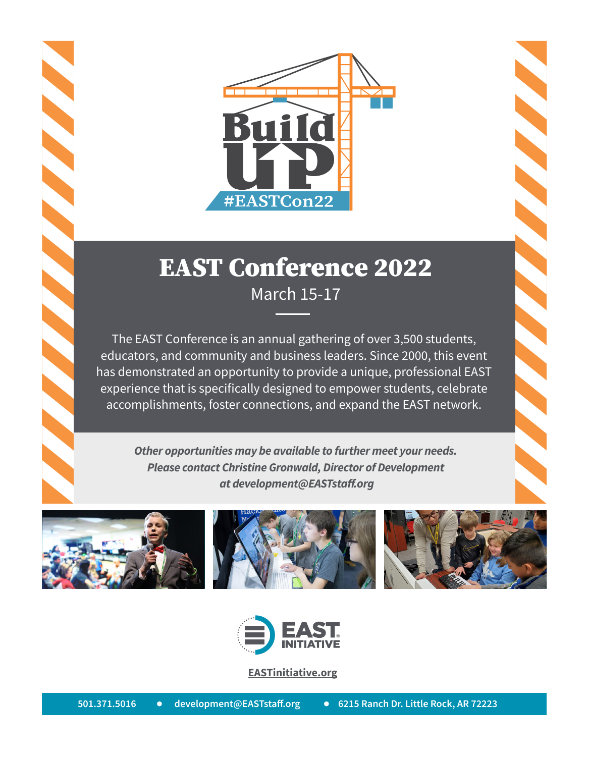

## EAST Conference 2022 March 15-17

The EAST Conference is an annual gathering of over 3,500 students, educators, and community and business leaders. Since 2000, this event has demonstrated an opportunity to provide a unique, professional EAST experience that is specifically designed to empower students, celebrate accomplishments, foster connections, and expand the EAST network.

*Other opportunities may be available to further meet your needs. Please contact Christine Gronwald, Director of Development at development@EASTstaff.org*



**SSSSSS** 







**[EASTinitiative.org](http://EASTinitiative.org)**